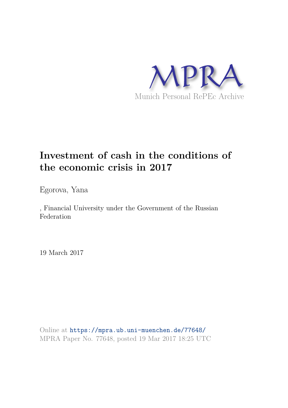

## **Investment of cash in the conditions of the economic crisis in 2017**

Egorova, Yana

, Financial University under the Government of the Russian Federation

19 March 2017

Online at https://mpra.ub.uni-muenchen.de/77648/ MPRA Paper No. 77648, posted 19 Mar 2017 18:25 UTC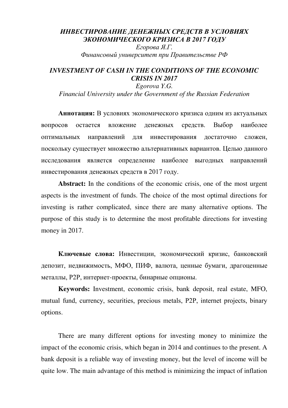## *ИНВЕСТИРОВАНИЕ ДЕНЕЖНЫХ СРЕДСТВ В УСЛОВИЯХ ЭКОНОМИЧЕСКОГО КРИЗИСА В 2017 ГОДУ Егорова Я.Г.*

*Финансовый университет при Правительстве РФ*

## *INVESTMENT OF CASH IN THE CONDITIONS OF THE ECONOMIC CRISIS IN 2017*

*Egorova Y.G. Financial University under the Government of the Russian Federation* 

**Аннотация:** В условиях экономического кризиса одним из актуальных вопросов остается вложение денежных средств. Выбор наиболее оптимальных направлений для инвестирования достаточно сложен, поскольку существует множество альтернативных вариантов. Целью данного исследования является определение наиболее выгодных направлений инвестирования денежных средств в 2017 году.

Abstract: In the conditions of the economic crisis, one of the most urgent aspects is the investment of funds. The choice of the most optimal directions for investing is rather complicated, since there are many alternative options. The purpose of this study is to determine the most profitable directions for investing money in 2017.

**Ключевые слова:** Инвестиции, экономический кризис, банковский депозит, недвижимость, МФО, ПИФ, валюта, ценные бумаги, драгоценные металлы, Р2Р, интернет-проекты, бинарные опционы.

**Keywords:** Investment, economic crisis, bank deposit, real estate, MFO, mutual fund, currency, securities, precious metals, Р2Р, internet projects, binary options.

There are many different options for investing money to minimize the impact of the economic crisis, which began in 2014 and continues to the present. A bank deposit is a reliable way of investing money, but the level of income will be quite low. The main advantage of this method is minimizing the impact of inflation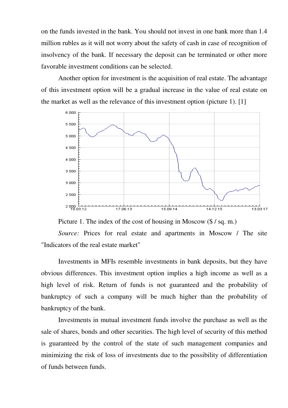on the funds invested in the bank. You should not invest in one bank more than 1.4 million rubles as it will not worry about the safety of cash in case of recognition of insolvency of the bank. If necessary the deposit can be terminated or other more favorable investment conditions can be selected.

Another option for investment is the acquisition of real estate. The advantage of this investment option will be a gradual increase in the value of real estate on the market as well as the relevance of this investment option (picture 1). [1]



Picture 1. The index of the cost of housing in Moscow (\$/sq. m.)

*Source:* Prices for real estate and apartments in Moscow / The site "Indicators of the real estate market"

Investments in MFIs resemble investments in bank deposits, but they have obvious differences. This investment option implies a high income as well as a high level of risk. Return of funds is not guaranteed and the probability of bankruptcy of such a company will be much higher than the probability of bankruptcy of the bank.

Investments in mutual investment funds involve the purchase as well as the sale of shares, bonds and other securities. The high level of security of this method is guaranteed by the control of the state of such management companies and minimizing the risk of loss of investments due to the possibility of differentiation of funds between funds.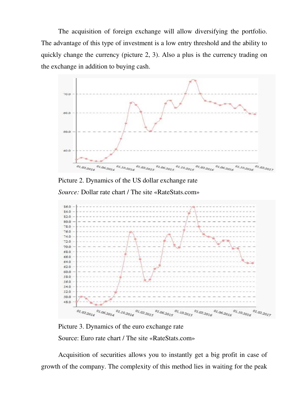The acquisition of foreign exchange will allow diversifying the portfolio. The advantage of this type of investment is a low entry threshold and the ability to quickly change the currency (picture 2, 3). Also a plus is the currency trading on the exchange in addition to buying cash.



Picture 2. Dynamics of the US dollar exchange rate *Source:* Dollar rate chart / The site «RateStats.com»



Picture 3. Dynamics of the euro exchange rate Source: Euro rate chart / The site «RateStats.com»

Acquisition of securities allows you to instantly get a big profit in case of growth of the company. The complexity of this method lies in waiting for the peak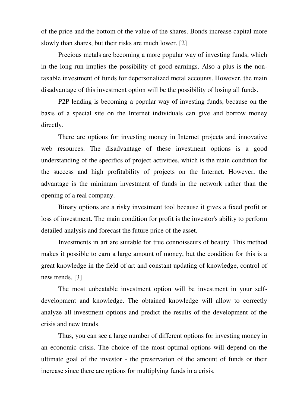of the price and the bottom of the value of the shares. Bonds increase capital more slowly than shares, but their risks are much lower. [2]

Precious metals are becoming a more popular way of investing funds, which in the long run implies the possibility of good earnings. Also a plus is the nontaxable investment of funds for depersonalized metal accounts. However, the main disadvantage of this investment option will be the possibility of losing all funds.

P2P lending is becoming a popular way of investing funds, because on the basis of a special site on the Internet individuals can give and borrow money directly.

There are options for investing money in Internet projects and innovative web resources. The disadvantage of these investment options is a good understanding of the specifics of project activities, which is the main condition for the success and high profitability of projects on the Internet. However, the advantage is the minimum investment of funds in the network rather than the opening of a real company.

Binary options are a risky investment tool because it gives a fixed profit or loss of investment. The main condition for profit is the investor's ability to perform detailed analysis and forecast the future price of the asset.

Investments in art are suitable for true connoisseurs of beauty. This method makes it possible to earn a large amount of money, but the condition for this is a great knowledge in the field of art and constant updating of knowledge, control of new trends. [3]

The most unbeatable investment option will be investment in your selfdevelopment and knowledge. The obtained knowledge will allow to correctly analyze all investment options and predict the results of the development of the crisis and new trends.

Thus, you can see a large number of different options for investing money in an economic crisis. The choice of the most optimal options will depend on the ultimate goal of the investor - the preservation of the amount of funds or their increase since there are options for multiplying funds in a crisis.